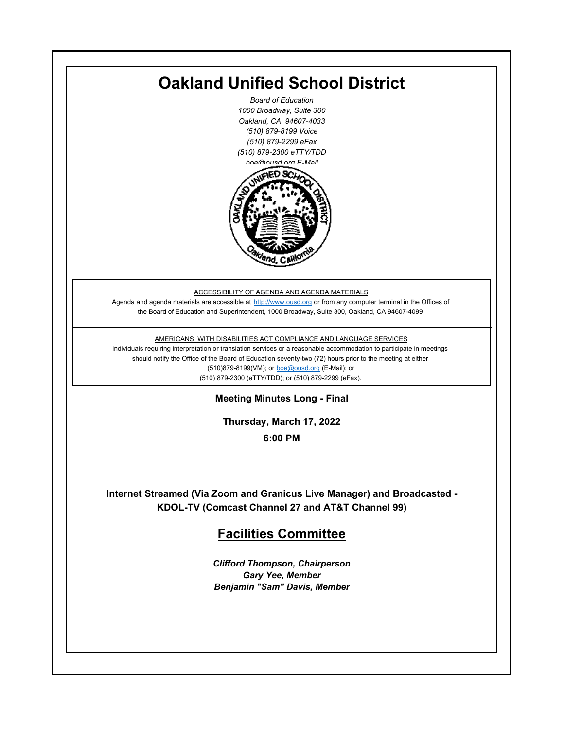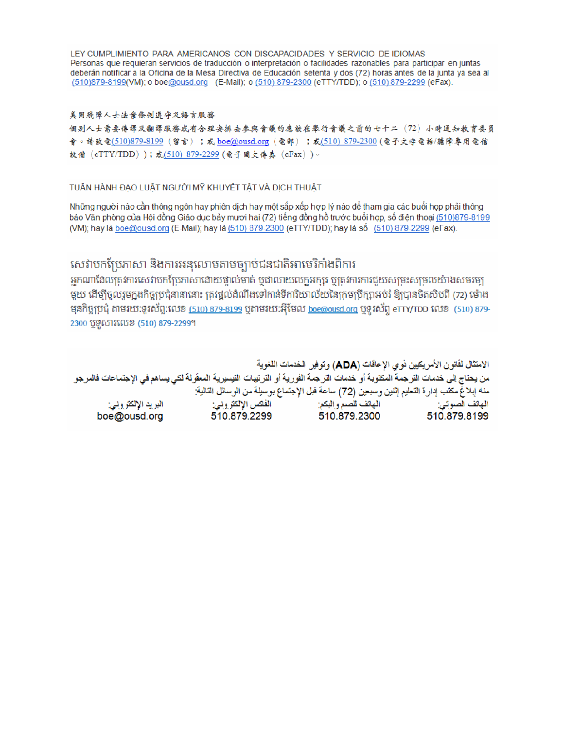LEY CUMPLIMIENTO PARA AMERICANOS CON DISCAPACIDADES Y SERVICIO DE IDIOMAS Personas que requieran servicios de traducción o interpretación o facilidades razonables para participar en juntas deberán notificar a la Oficina de la Mesa Directiva de Educación setenta y dos (72) horas antes de la junta ya sea al (510)879-8199(VM); o boe@ousd.org (E-Mail); o (510) 879-2300 (eTTY/TDD); o (510) 879-2299 (eFax).

#### 美国残障人士法案條例遵守及語言服務

個别人士需要傳譯及翻譯服務或有合理安排去參與會議的應該在舉行會議之前的七十二 (72) 小時通知教育委員 會。請致電(510)879-8199(留言);或 boe@ousd.org (電郵) ;或(510) 879-2300 (電子文字電話/聽障專用電信 設備 (eTTY/TDD));或(510)879-2299(電子圖文傳真 (eFax))。

#### TUÂN HÀNH ĐẠO LUẬT NGƯỜI MỸ KHUYẾT TẤT VÀ DỊCH THUẬT

Những người nào cần thông ngôn hay phiên dịch hay một sắp xếp hợp lý nào để tham gia các buổi họp phải thông báo Văn phòng của Hội đồng Giáo dục bảy mươi hai (72) tiếng đồng hồ trước buổi họp, số điện thoại (510)879-8199 (VM); hay là boe@ousd.org (E-Mail); hay là (510) 879-2300 (eTTY/TDD); hay là số (510) 879-2299 (eFax).

# សេវាបកប្រែភាសា និងការអនុលោមតាមច្បាប់ជនជាតិអាមេរិកាំងពិការ

អកណាដែលតេវការសេវាបកប្រែភាសាដោយផ្ទាល់មាត់ ឬជាលាយលក្ខអក្សរ ឬត្រូវការការជួយសម្រះសម្រលយ៉ាងសមរម្យ មយ ដើម្បីចលរមកងកិច្ចប្រជុំនានានោះ ត្រូវផ្តល់ដំណឹងទៅកាន់ទីការិយាល័យនៃក្រមប្រឹក្សាអប់រំ ឱ្យបានចិតសិបពី (72) ម៉ោង ម្មនកិច្ចប្រជុំ តាមរយៈទូរស័ព្ទ:លេខ (<u>510) 879-8199</u> បុតាមរយៈអ៊ីមែល <u>boe@ousd.org</u> បុទ្**រ**ស័ព្ទ eTTY/TDD លេខ (510) 879-2300 ប៊ូទ្មិសារលេខ (510) 879-2299។

الامتثال لقانون الأمريكيين نو ي الإعاقات (ADA) وتوفير الخدمات اللغوية من يحتاج إلى خدمات التر جمة المكتوبة أو خدمات التر جمة الفورية أو الترتيبات التيسيرية المعفّولة لكي يساهم في الإجتماعات فالمرجو منه إبلاغ مكتب إدارة التعليم إثنين وسبعين (72) ساعة قبل الإجتماع بوسيلة من الوسائل التالية: البريد الإلكتروني: 510.879.2299 boe@ousd.org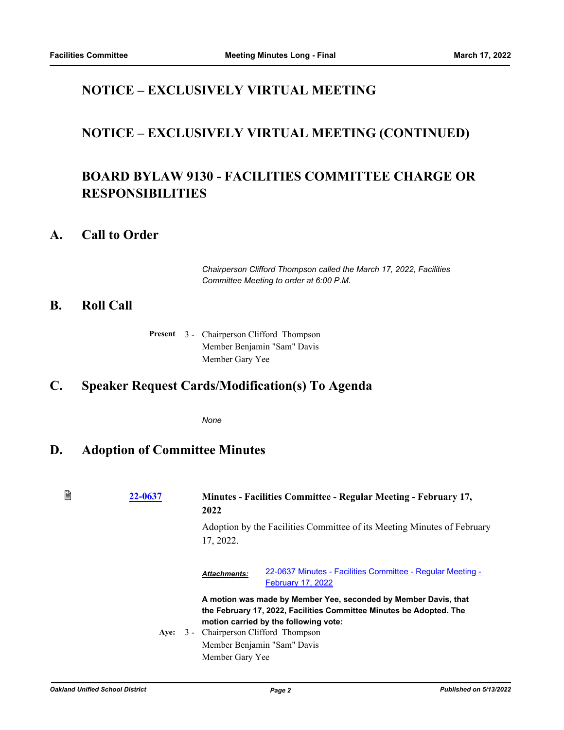# **NOTICE – EXCLUSIVELY VIRTUAL MEETING**

### **NOTICE – EXCLUSIVELY VIRTUAL MEETING (CONTINUED)**

# **BOARD BYLAW 9130 - FACILITIES COMMITTEE CHARGE OR RESPONSIBILITIES**

#### **A. Call to Order**

*Chairperson Clifford Thompson called the March 17, 2022, Facilities Committee Meeting to order at 6:00 P.M.*

#### **B. Roll Call**

Present 3 - Chairperson Clifford Thompson Member Benjamin "Sam" Davis Member Gary Yee

### **C. Speaker Request Cards/Modification(s) To Agenda**

*None*

#### **D. Adoption of Committee Minutes**

| B | 22-0637 | 2022                | <b>Minutes - Facilities Committee - Regular Meeting - February 17,</b>                                                                                                                                                                              |  |
|---|---------|---------------------|-----------------------------------------------------------------------------------------------------------------------------------------------------------------------------------------------------------------------------------------------------|--|
|   |         | 17, 2022.           | Adoption by the Facilities Committee of its Meeting Minutes of February                                                                                                                                                                             |  |
|   |         | <b>Attachments:</b> | 22-0637 Minutes - Facilities Committee - Regular Meeting -<br><b>February 17, 2022</b>                                                                                                                                                              |  |
|   | Ave:    | Member Gary Yee     | A motion was made by Member Yee, seconded by Member Davis, that<br>the February 17, 2022, Facilities Committee Minutes be Adopted. The<br>motion carried by the following vote:<br>3 - Chairperson Clifford Thompson<br>Member Benjamin "Sam" Davis |  |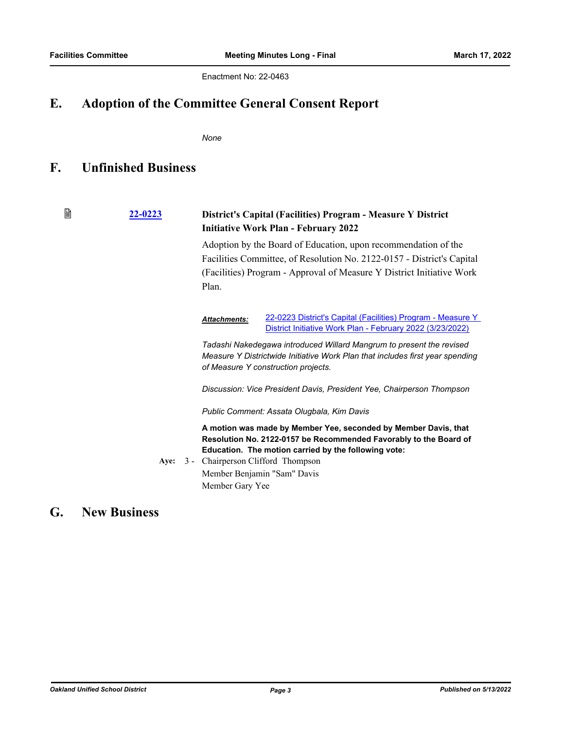Enactment No: 22-0463

### **E. Adoption of the Committee General Consent Report**

*None*

#### **F. Unfinished Business**

₿ **[22-0223](http://ousd.legistar.com/gateway.aspx?m=l&id=/matter.aspx?key=54518) District's Capital (Facilities) Program - Measure Y District Initiative Work Plan - February 2022** Adoption by the Board of Education, upon recommendation of the Facilities Committee, of Resolution No. 2122-0157 - District's Capital (Facilities) Program - Approval of Measure Y District Initiative Work Plan. [22-0223 District's Capital \(Facilities\) Program - Measure Y](http://ousd.legistar.com/gateway.aspx?M=F&ID=102759.pdf)  *Attachments:* District Initiative Work Plan - February 2022 (3/23/2022) *Tadashi Nakedegawa introduced Willard Mangrum to present the revised Measure Y Districtwide Initiative Work Plan that includes first year spending of Measure Y construction projects. Discussion: Vice President Davis, President Yee, Chairperson Thompson Public Comment: Assata Olugbala, Kim Davis* **A motion was made by Member Yee, seconded by Member Davis, that Resolution No. 2122-0157 be Recommended Favorably to the Board of Education. The motion carried by the following vote:** Aye:  $3 -$ **Aye:** Chairperson Clifford Thompson Member Benjamin "Sam" Davis Member Gary Yee

#### **G. New Business**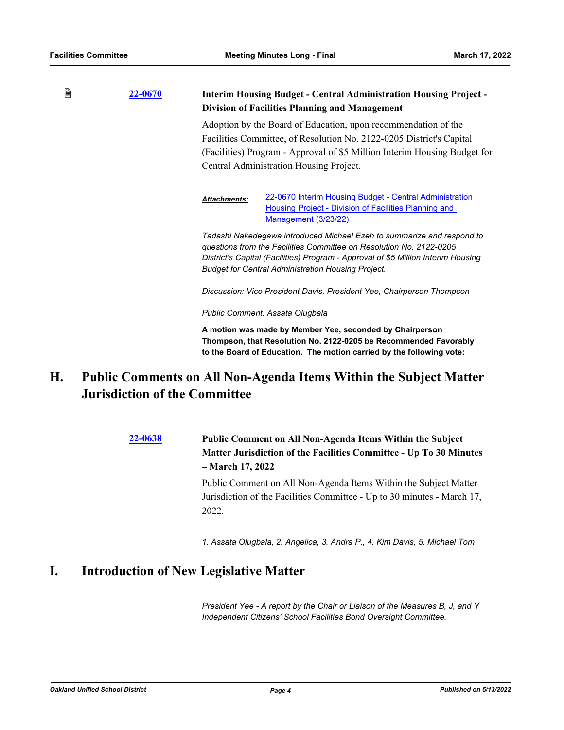| B | <b>22-0670</b> | <b>Interim Housing Budget - Central Administration Housing Project -</b><br><b>Division of Facilities Planning and Management</b>                                                                                                                                                               |  |
|---|----------------|-------------------------------------------------------------------------------------------------------------------------------------------------------------------------------------------------------------------------------------------------------------------------------------------------|--|
|   |                | Adoption by the Board of Education, upon recommendation of the                                                                                                                                                                                                                                  |  |
|   |                | Facilities Committee, of Resolution No. 2122-0205 District's Capital<br>(Facilities) Program - Approval of \$5 Million Interim Housing Budget for<br>Central Administration Housing Project.                                                                                                    |  |
|   |                |                                                                                                                                                                                                                                                                                                 |  |
|   |                |                                                                                                                                                                                                                                                                                                 |  |
|   |                | 22-0670 Interim Housing Budget - Central Administration<br><b>Attachments:</b><br>Housing Project - Division of Facilities Planning and<br><b>Management (3/23/22)</b>                                                                                                                          |  |
|   |                | Tadashi Nakedegawa introduced Michael Ezeh to summarize and respond to<br>questions from the Facilities Committee on Resolution No. 2122-0205<br>District's Capital (Facilities) Program - Approval of \$5 Million Interim Housing<br><b>Budget for Central Administration Housing Project.</b> |  |
|   |                | Discussion: Vice President Davis, President Yee, Chairperson Thompson                                                                                                                                                                                                                           |  |
|   |                | Public Comment: Assata Olugbala                                                                                                                                                                                                                                                                 |  |
|   |                | A motion was made by Member Yee, seconded by Chairperson<br>Thompson, that Resolution No. 2122-0205 be Recommended Favorably<br>to the Board of Education. The motion carried by the following vote:                                                                                            |  |

#### **Public Comments on All Non-Agenda Items Within the Subject Matter Jurisdiction of the Committee H.**

**[22-0638](http://ousd.legistar.com/gateway.aspx?m=l&id=/matter.aspx?key=54933) Public Comment on All Non-Agenda Items Within the Subject Matter Jurisdiction of the Facilities Committee - Up To 30 Minutes – March 17, 2022**

> Public Comment on All Non-Agenda Items Within the Subject Matter Jurisdiction of the Facilities Committee - Up to 30 minutes - March 17, 2022.

*1. Assata Olugbala, 2. Angelica, 3. Andra P., 4. Kim Davis, 5. Michael Tom*

### **I. Introduction of New Legislative Matter**

*President Yee - A report by the Chair or Liaison of the Measures B, J, and Y Independent Citizens' School Facilities Bond Oversight Committee.*